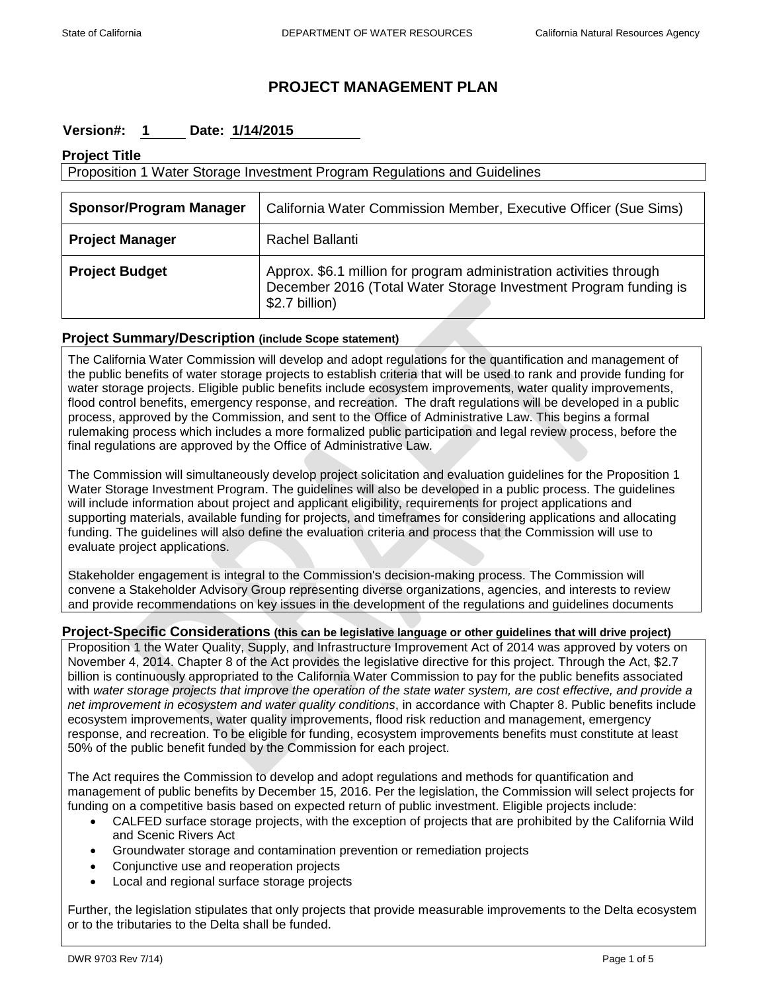## **PROJECT MANAGEMENT PLAN**

## **Version#: 1 Date: 1/14/2015**

## **Project Title**

| Proposition 1 Water Storage Investment Program Regulations and Guidelines |                                                                                                                                                           |  |
|---------------------------------------------------------------------------|-----------------------------------------------------------------------------------------------------------------------------------------------------------|--|
| <b>Sponsor/Program Manager</b>                                            | California Water Commission Member, Executive Officer (Sue Sims)                                                                                          |  |
| <b>Project Manager</b>                                                    | Rachel Ballanti                                                                                                                                           |  |
| <b>Project Budget</b>                                                     | Approx. \$6.1 million for program administration activities through<br>December 2016 (Total Water Storage Investment Program funding is<br>\$2.7 billion) |  |

#### **Project Summary/Description (include Scope statement)**

The California Water Commission will develop and adopt regulations for the quantification and management of the public benefits of water storage projects to establish criteria that will be used to rank and provide funding for water storage projects. Eligible public benefits include ecosystem improvements, water quality improvements, flood control benefits, emergency response, and recreation. The draft regulations will be developed in a public process, approved by the Commission, and sent to the Office of Administrative Law. This begins a formal rulemaking process which includes a more formalized public participation and legal review process, before the final regulations are approved by the Office of Administrative Law.

The Commission will simultaneously develop project solicitation and evaluation guidelines for the Proposition 1 Water Storage Investment Program. The guidelines will also be developed in a public process. The guidelines will include information about project and applicant eligibility, requirements for project applications and supporting materials, available funding for projects, and timeframes for considering applications and allocating funding. The guidelines will also define the evaluation criteria and process that the Commission will use to evaluate project applications.

Stakeholder engagement is integral to the Commission's decision-making process. The Commission will convene a Stakeholder Advisory Group representing diverse organizations, agencies, and interests to review and provide recommendations on key issues in the development of the regulations and guidelines documents

#### **Project-Specific Considerations (this can be legislative language or other guidelines that will drive project)**

Proposition 1 the Water Quality, Supply, and Infrastructure Improvement Act of 2014 was approved by voters on November 4, 2014. Chapter 8 of the Act provides the legislative directive for this project. Through the Act, \$2.7 billion is continuously appropriated to the California Water Commission to pay for the public benefits associated with *water storage projects that improve the operation of the state water system, are cost effective, and provide a net improvement in ecosystem and water quality conditions*, in accordance with Chapter 8. Public benefits include ecosystem improvements, water quality improvements, flood risk reduction and management, emergency response, and recreation. To be eligible for funding, ecosystem improvements benefits must constitute at least 50% of the public benefit funded by the Commission for each project.

The Act requires the Commission to develop and adopt regulations and methods for quantification and management of public benefits by December 15, 2016. Per the legislation, the Commission will select projects for funding on a competitive basis based on expected return of public investment. Eligible projects include:

- CALFED surface storage projects, with the exception of projects that are prohibited by the California Wild and Scenic Rivers Act
- Groundwater storage and contamination prevention or remediation projects
- Conjunctive use and reoperation projects
- Local and regional surface storage projects

Further, the legislation stipulates that only projects that provide measurable improvements to the Delta ecosystem or to the tributaries to the Delta shall be funded.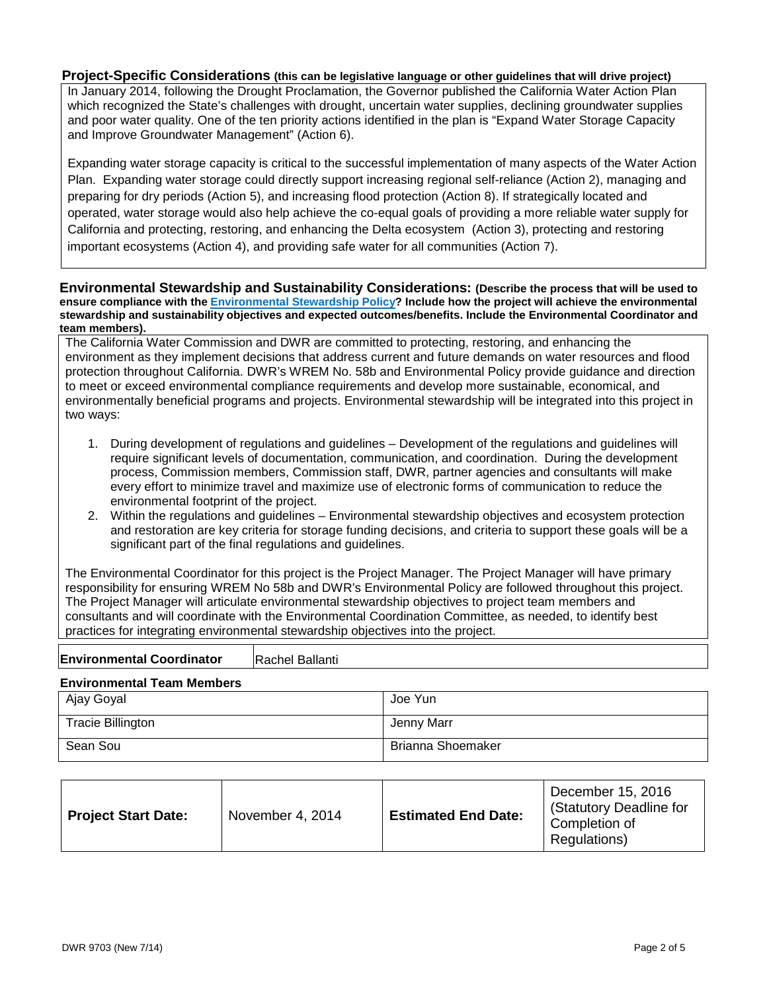#### **Project-Specific Considerations (this can be legislative language or other guidelines that will drive project)**

In January 2014, following the Drought Proclamation, the Governor published the California Water Action Plan which recognized the State's challenges with drought, uncertain water supplies, declining groundwater supplies and poor water quality. One of the ten priority actions identified in the plan is "Expand Water Storage Capacity and Improve Groundwater Management" (Action 6).

Expanding water storage capacity is critical to the successful implementation of many aspects of the Water Action Plan. Expanding water storage could directly support increasing regional self-reliance (Action 2), managing and preparing for dry periods (Action 5), and increasing flood protection (Action 8). If strategically located and operated, water storage would also help achieve the co-equal goals of providing a more reliable water supply for California and protecting, restoring, and enhancing the Delta ecosystem (Action 3), protecting and restoring important ecosystems (Action 4), and providing safe water for all communities (Action 7).

**Environmental Stewardship and Sustainability Considerations: (Describe the process that will be used to ensure compliance with the [Environmental Stewardship Policy?](http://aquanet.water.ca.gov/mao/wrem/58b.pdf) Include how the project will achieve the environmental stewardship and sustainability objectives and expected outcomes/benefits. Include the Environmental Coordinator and team members).**

The California Water Commission and DWR are committed to protecting, restoring, and enhancing the environment as they implement decisions that address current and future demands on water resources and flood protection throughout California. DWR's WREM No. 58b and Environmental Policy provide guidance and direction to meet or exceed environmental compliance requirements and develop more sustainable, economical, and environmentally beneficial programs and projects. Environmental stewardship will be integrated into this project in two ways:

- 1. During development of regulations and guidelines Development of the regulations and guidelines will require significant levels of documentation, communication, and coordination. During the development process, Commission members, Commission staff, DWR, partner agencies and consultants will make every effort to minimize travel and maximize use of electronic forms of communication to reduce the environmental footprint of the project.
- 2. Within the regulations and guidelines Environmental stewardship objectives and ecosystem protection and restoration are key criteria for storage funding decisions, and criteria to support these goals will be a significant part of the final regulations and guidelines.

The Environmental Coordinator for this project is the Project Manager. The Project Manager will have primary responsibility for ensuring WREM No 58b and DWR's Environmental Policy are followed throughout this project. The Project Manager will articulate environmental stewardship objectives to project team members and consultants and will coordinate with the Environmental Coordination Committee, as needed, to identify best practices for integrating environmental stewardship objectives into the project.

| <b>Environmental Coordinator</b><br>Rachel Ballanti |  |
|-----------------------------------------------------|--|
|-----------------------------------------------------|--|

#### **Environmental Team Members**

| Ajay Goyal               | Joe Yun           |
|--------------------------|-------------------|
| <b>Tracie Billington</b> | Jenny Marr        |
| Sean Sou                 | Brianna Shoemaker |

| <b>Estimated End Date:</b><br><b>Project Start Date:</b><br>November 4, 2014 | December 15, 2016<br>(Statutory Deadline for<br>Completion of<br>Regulations) |
|------------------------------------------------------------------------------|-------------------------------------------------------------------------------|
|------------------------------------------------------------------------------|-------------------------------------------------------------------------------|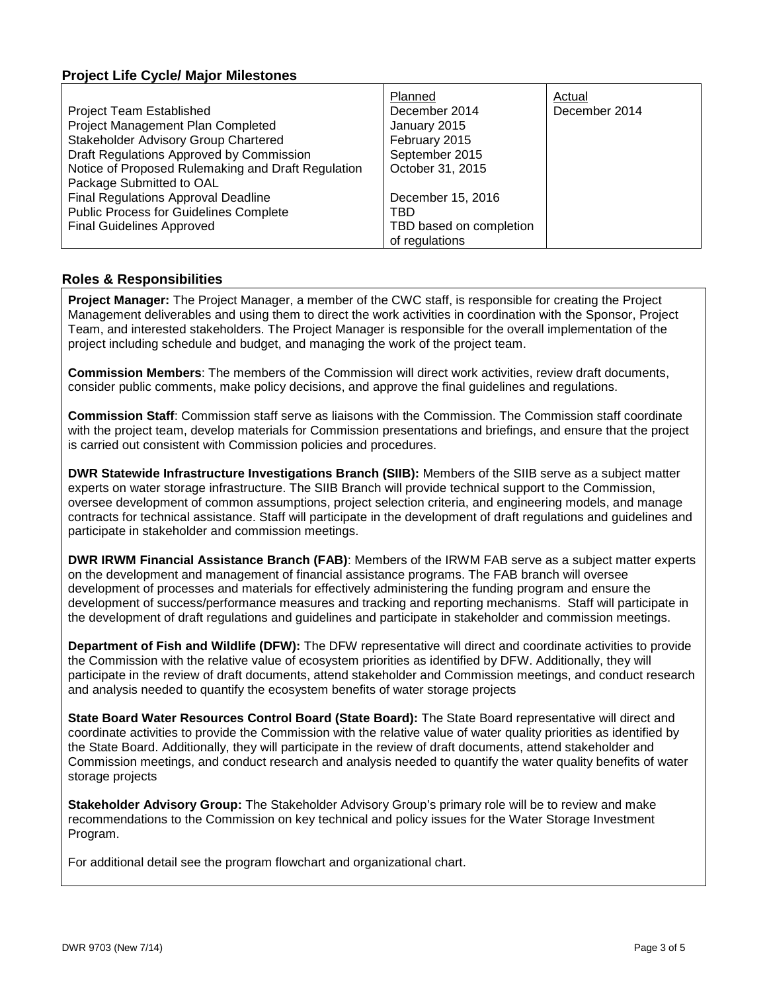## **Project Life Cycle/ Major Milestones**

|                                                    | Planned                 | Actual        |
|----------------------------------------------------|-------------------------|---------------|
| <b>Project Team Established</b>                    | December 2014           | December 2014 |
| Project Management Plan Completed                  | January 2015            |               |
| Stakeholder Advisory Group Chartered               | February 2015           |               |
| Draft Regulations Approved by Commission           | September 2015          |               |
| Notice of Proposed Rulemaking and Draft Regulation | October 31, 2015        |               |
| Package Submitted to OAL                           |                         |               |
| <b>Final Regulations Approval Deadline</b>         | December 15, 2016       |               |
| <b>Public Process for Guidelines Complete</b>      | TBD                     |               |
| <b>Final Guidelines Approved</b>                   | TBD based on completion |               |
|                                                    | of regulations          |               |

### **Roles & Responsibilities**

**Project Manager:** The Project Manager, a member of the CWC staff, is responsible for creating the Project Management deliverables and using them to direct the work activities in coordination with the Sponsor, Project Team, and interested stakeholders. The Project Manager is responsible for the overall implementation of the project including schedule and budget, and managing the work of the project team.

**Commission Members**: The members of the Commission will direct work activities, review draft documents, consider public comments, make policy decisions, and approve the final guidelines and regulations.

**Commission Staff**: Commission staff serve as liaisons with the Commission. The Commission staff coordinate with the project team, develop materials for Commission presentations and briefings, and ensure that the project is carried out consistent with Commission policies and procedures.

**DWR Statewide Infrastructure Investigations Branch (SIIB):** Members of the SIIB serve as a subject matter experts on water storage infrastructure. The SIIB Branch will provide technical support to the Commission, oversee development of common assumptions, project selection criteria, and engineering models, and manage contracts for technical assistance. Staff will participate in the development of draft regulations and guidelines and participate in stakeholder and commission meetings.

**DWR IRWM Financial Assistance Branch (FAB)**: Members of the IRWM FAB serve as a subject matter experts on the development and management of financial assistance programs. The FAB branch will oversee development of processes and materials for effectively administering the funding program and ensure the development of success/performance measures and tracking and reporting mechanisms. Staff will participate in the development of draft regulations and guidelines and participate in stakeholder and commission meetings.

**Department of Fish and Wildlife (DFW):** The DFW representative will direct and coordinate activities to provide the Commission with the relative value of ecosystem priorities as identified by DFW. Additionally, they will participate in the review of draft documents, attend stakeholder and Commission meetings, and conduct research and analysis needed to quantify the ecosystem benefits of water storage projects

**State Board Water Resources Control Board (State Board):** The State Board representative will direct and coordinate activities to provide the Commission with the relative value of water quality priorities as identified by the State Board. Additionally, they will participate in the review of draft documents, attend stakeholder and Commission meetings, and conduct research and analysis needed to quantify the water quality benefits of water storage projects

**Stakeholder Advisory Group:** The Stakeholder Advisory Group's primary role will be to review and make recommendations to the Commission on key technical and policy issues for the Water Storage Investment Program.

For additional detail see the program flowchart and organizational chart.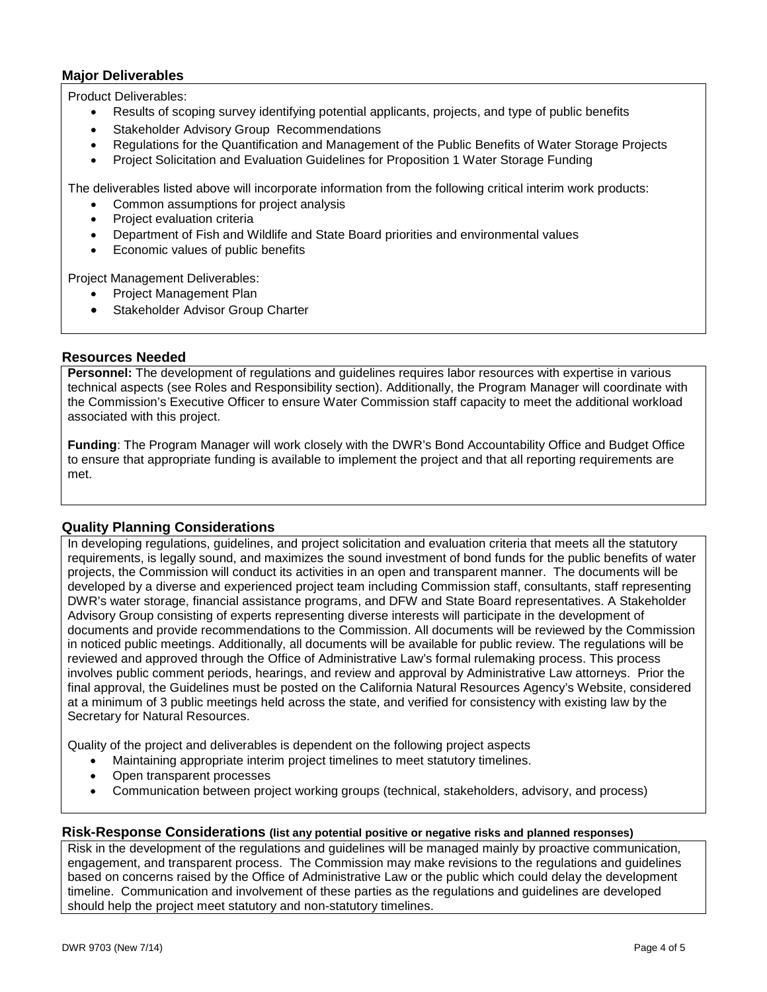## **Major Deliverables**

Product Deliverables:

- Results of scoping survey identifying potential applicants, projects, and type of public benefits
- Stakeholder Advisory Group Recommendations
- Regulations for the Quantification and Management of the Public Benefits of Water Storage Projects
- Project Solicitation and Evaluation Guidelines for Proposition 1 Water Storage Funding

The deliverables listed above will incorporate information from the following critical interim work products:

- Common assumptions for project analysis
- Project evaluation criteria
- Department of Fish and Wildlife and State Board priorities and environmental values
- Economic values of public benefits

Project Management Deliverables:

- Project Management Plan
- Stakeholder Advisor Group Charter

#### **Resources Needed**

**Personnel:** The development of regulations and guidelines requires labor resources with expertise in various technical aspects (see Roles and Responsibility section). Additionally, the Program Manager will coordinate with the Commission's Executive Officer to ensure Water Commission staff capacity to meet the additional workload associated with this project.

**Funding**: The Program Manager will work closely with the DWR's Bond Accountability Office and Budget Office to ensure that appropriate funding is available to implement the project and that all reporting requirements are met.

#### **Quality Planning Considerations**

In developing regulations, guidelines, and project solicitation and evaluation criteria that meets all the statutory requirements, is legally sound, and maximizes the sound investment of bond funds for the public benefits of water projects, the Commission will conduct its activities in an open and transparent manner. The documents will be developed by a diverse and experienced project team including Commission staff, consultants, staff representing DWR's water storage, financial assistance programs, and DFW and State Board representatives. A Stakeholder Advisory Group consisting of experts representing diverse interests will participate in the development of documents and provide recommendations to the Commission. All documents will be reviewed by the Commission in noticed public meetings. Additionally, all documents will be available for public review. The regulations will be reviewed and approved through the Office of Administrative Law's formal rulemaking process. This process involves public comment periods, hearings, and review and approval by Administrative Law attorneys. Prior the final approval, the Guidelines must be posted on the California Natural Resources Agency's Website, considered at a minimum of 3 public meetings held across the state, and verified for consistency with existing law by the Secretary for Natural Resources.

Quality of the project and deliverables is dependent on the following project aspects

- Maintaining appropriate interim project timelines to meet statutory timelines.
- Open transparent processes
- Communication between project working groups (technical, stakeholders, advisory, and process)

#### **Risk-Response Considerations (list any potential positive or negative risks and planned responses)**

Risk in the development of the regulations and guidelines will be managed mainly by proactive communication, engagement, and transparent process. The Commission may make revisions to the regulations and guidelines based on concerns raised by the Office of Administrative Law or the public which could delay the development timeline. Communication and involvement of these parties as the regulations and guidelines are developed should help the project meet statutory and non-statutory timelines.